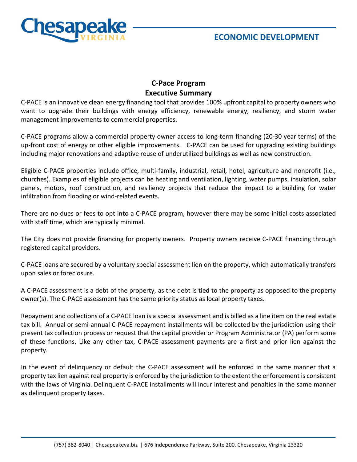

## **C-Pace Program Executive Summary**

C-PACE is an innovative clean energy financing tool that provides 100% upfront capital to property owners who want to upgrade their buildings with energy efficiency, renewable energy, resiliency, and storm water management improvements to commercial properties.

C-PACE programs allow a commercial property owner access to long-term financing (20-30 year terms) of the up-front cost of energy or other eligible improvements. C-PACE can be used for upgrading existing buildings including major renovations and adaptive reuse of underutilized buildings as well as new construction.

Eligible C-PACE properties include office, multi-family, industrial, retail, hotel, agriculture and nonprofit (i.e., churches). Examples of eligible projects can be heating and ventilation, lighting, water pumps, insulation, solar panels, motors, roof construction, and resiliency projects that reduce the impact to a building for water infiltration from flooding or wind-related events.

There are no dues or fees to opt into a C-PACE program, however there may be some initial costs associated with staff time, which are typically minimal.

The City does not provide financing for property owners. Property owners receive C-PACE financing through registered capital providers.

C-PACE loans are secured by a voluntary special assessment lien on the property, which automatically transfers upon sales or foreclosure.

A C-PACE assessment is a debt of the property, as the debt is tied to the property as opposed to the property owner(s). The C-PACE assessment has the same priority status as local property taxes.

Repayment and collections of a C-PACE loan is a special assessment and is billed as a line item on the real estate tax bill. Annual or semi-annual C-PACE repayment installments will be collected by the jurisdiction using their present tax collection process or request that the capital provider or Program Administrator (PA) perform some of these functions. Like any other tax, C-PACE assessment payments are a first and prior lien against the property.

In the event of delinquency or default the C-PACE assessment will be enforced in the same manner that a property tax lien against real property is enforced by the jurisdiction to the extent the enforcement is consistent with the laws of Virginia. Delinquent C-PACE installments will incur interest and penalties in the same manner as delinquent property taxes.